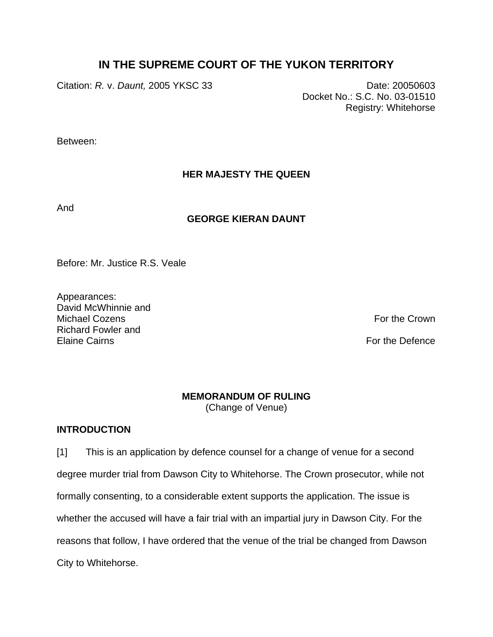# **IN THE SUPREME COURT OF THE YUKON TERRITORY**

Citation: *R.* v. *Daunt,* 2005 YKSC 33 Date: 20050603

Docket No.: S.C. No. 03-01510 Registry: Whitehorse

Between:

## **HER MAJESTY THE QUEEN**

And

### **GEORGE KIERAN DAUNT**

Before: Mr. Justice R.S. Veale

Appearances: David McWhinnie and Michael Cozens **For the Crown** Richard Fowler and Elaine Cairns **For the Defence** 

### **MEMORANDUM OF RULING**

(Change of Venue)

### **INTRODUCTION**

[1] This is an application by defence counsel for a change of venue for a second degree murder trial from Dawson City to Whitehorse. The Crown prosecutor, while not formally consenting, to a considerable extent supports the application. The issue is whether the accused will have a fair trial with an impartial jury in Dawson City. For the reasons that follow, I have ordered that the venue of the trial be changed from Dawson City to Whitehorse.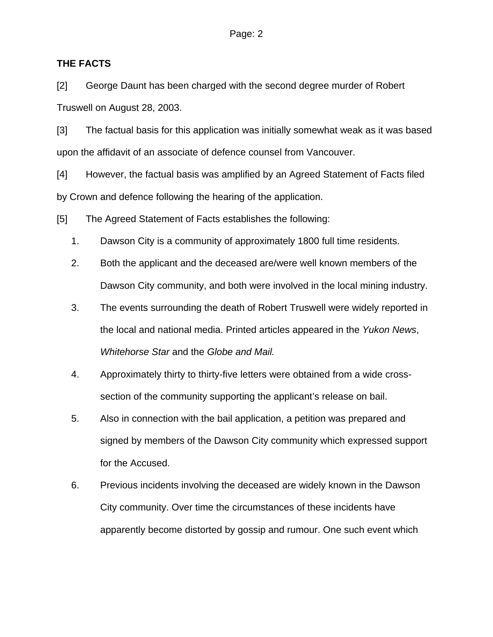#### **THE FACTS**

[2] George Daunt has been charged with the second degree murder of Robert Truswell on August 28, 2003.

[3] The factual basis for this application was initially somewhat weak as it was based upon the affidavit of an associate of defence counsel from Vancouver.

[4] However, the factual basis was amplified by an Agreed Statement of Facts filed by Crown and defence following the hearing of the application.

[5] The Agreed Statement of Facts establishes the following:

- 1. Dawson City is a community of approximately 1800 full time residents.
- 2. Both the applicant and the deceased are/were well known members of the Dawson City community, and both were involved in the local mining industry.
- 3. The events surrounding the death of Robert Truswell were widely reported in the local and national media. Printed articles appeared in the *Yukon News*, *Whitehorse Star* and the *Globe and Mail.*
- 4. Approximately thirty to thirty-five letters were obtained from a wide crosssection of the community supporting the applicant's release on bail.
- 5. Also in connection with the bail application, a petition was prepared and signed by members of the Dawson City community which expressed support for the Accused.
- 6. Previous incidents involving the deceased are widely known in the Dawson City community. Over time the circumstances of these incidents have apparently become distorted by gossip and rumour. One such event which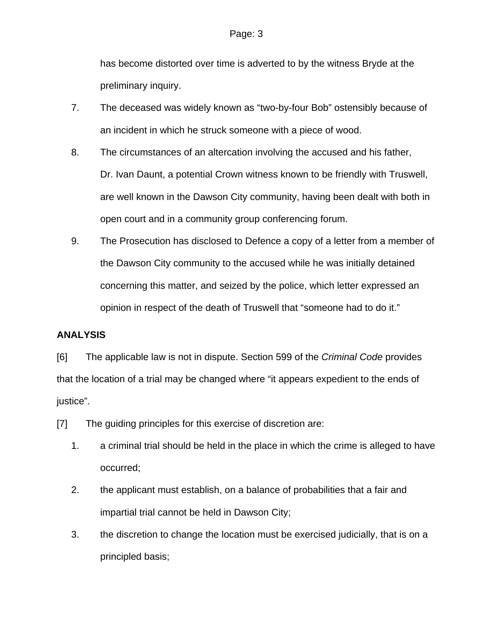has become distorted over time is adverted to by the witness Bryde at the preliminary inquiry.

- 7. The deceased was widely known as "two-by-four Bob" ostensibly because of an incident in which he struck someone with a piece of wood.
- 8. The circumstances of an altercation involving the accused and his father, Dr. Ivan Daunt, a potential Crown witness known to be friendly with Truswell, are well known in the Dawson City community, having been dealt with both in open court and in a community group conferencing forum.
- 9. The Prosecution has disclosed to Defence a copy of a letter from a member of the Dawson City community to the accused while he was initially detained concerning this matter, and seized by the police, which letter expressed an opinion in respect of the death of Truswell that "someone had to do it."

## **ANALYSIS**

[6] The applicable law is not in dispute. Section 599 of the *Criminal Code* provides that the location of a trial may be changed where "it appears expedient to the ends of justice".

[7] The guiding principles for this exercise of discretion are:

- 1. a criminal trial should be held in the place in which the crime is alleged to have occurred;
- 2. the applicant must establish, on a balance of probabilities that a fair and impartial trial cannot be held in Dawson City;
- 3. the discretion to change the location must be exercised judicially, that is on a principled basis;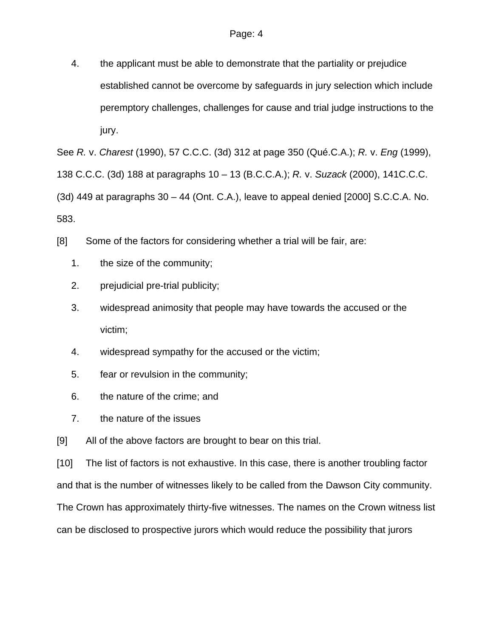4. the applicant must be able to demonstrate that the partiality or prejudice established cannot be overcome by safeguards in jury selection which include peremptory challenges, challenges for cause and trial judge instructions to the jury.

See *R.* v. *Charest* (1990), 57 C.C.C. (3d) 312 at page 350 (Qué.C.A.); *R.* v. *Eng* (1999),

138 C.C.C. (3d) 188 at paragraphs 10 – 13 (B.C.C.A.); *R.* v. *Suzack* (2000), 141C.C.C.

(3d) 449 at paragraphs 30 – 44 (Ont. C.A.), leave to appeal denied [2000] S.C.C.A. No.

583.

- [8] Some of the factors for considering whether a trial will be fair, are:
	- 1. the size of the community;
	- 2. prejudicial pre-trial publicity;
	- 3. widespread animosity that people may have towards the accused or the victim;
	- 4. widespread sympathy for the accused or the victim;
	- 5. fear or revulsion in the community;
	- 6. the nature of the crime; and
	- 7. the nature of the issues

[9] All of the above factors are brought to bear on this trial.

[10] The list of factors is not exhaustive. In this case, there is another troubling factor and that is the number of witnesses likely to be called from the Dawson City community. The Crown has approximately thirty-five witnesses. The names on the Crown witness list can be disclosed to prospective jurors which would reduce the possibility that jurors